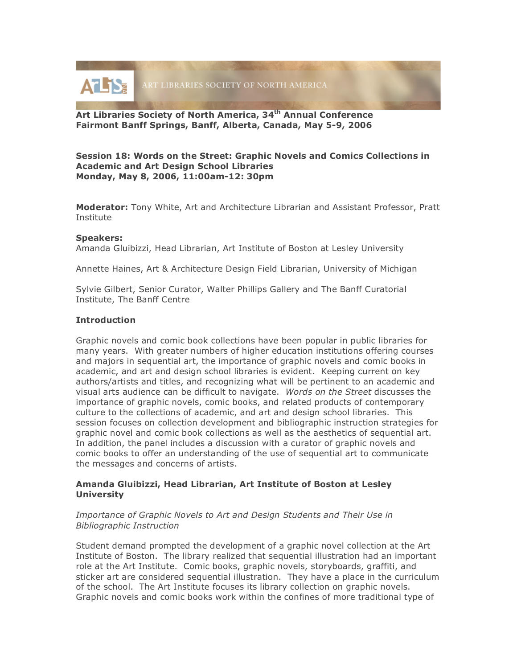

# **Art Libraries Society of North America, 34th Annual Conference Fairmont Banff Springs, Banff, Alberta, Canada, May 5-9, 2006**

### **Session 18: Words on the Street: Graphic Novels and Comics Collections in Academic and Art Design School Libraries Monday, May 8, 2006, 11:00am-12: 30pm**

**Moderator:** Tony White, Art and Architecture Librarian and Assistant Professor, Pratt Institute

#### **Speakers:**

Amanda Gluibizzi, Head Librarian, Art Institute of Boston at Lesley University

Annette Haines, Art & Architecture Design Field Librarian, University of Michigan

Sylvie Gilbert, Senior Curator, Walter Phillips Gallery and The Banff Curatorial Institute, The Banff Centre

### **Introduction**

Graphic novels and comic book collections have been popular in public libraries for many years. With greater numbers of higher education institutions offering courses and majors in sequential art, the importance of graphic novels and comic books in academic, and art and design school libraries is evident. Keeping current on key authors/artists and titles, and recognizing what will be pertinent to an academic and visual arts audience can be difficult to navigate. *Words on the Street* discusses the importance of graphic novels, comic books, and related products of contemporary culture to the collections of academic, and art and design school libraries. This session focuses on collection development and bibliographic instruction strategies for graphic novel and comic book collections as well as the aesthetics of sequential art. In addition, the panel includes a discussion with a curator of graphic novels and comic books to offer an understanding of the use of sequential art to communicate the messages and concerns of artists.

# **Amanda Gluibizzi, Head Librarian, Art Institute of Boston at Lesley University**

### *Importance of Graphic Novels to Art and Design Students and Their Use in Bibliographic Instruction*

Student demand prompted the development of a graphic novel collection at the Art Institute of Boston. The library realized that sequential illustration had an important role at the Art Institute. Comic books, graphic novels, storyboards, graffiti, and sticker art are considered sequential illustration. They have a place in the curriculum of the school. The Art Institute focuses its library collection on graphic novels. Graphic novels and comic books work within the confines of more traditional type of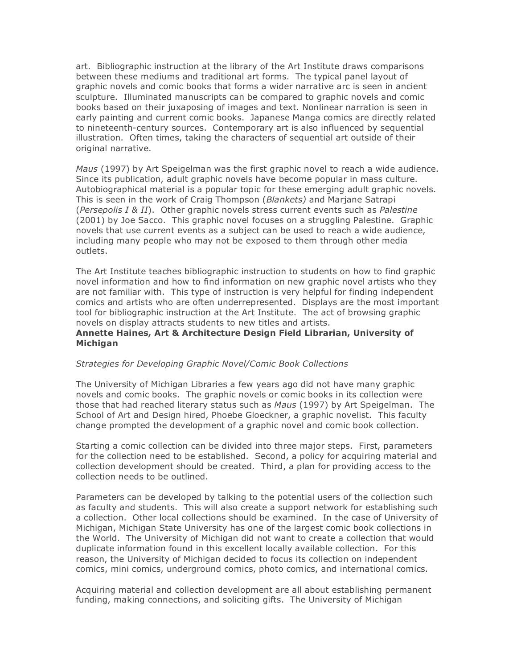art. Bibliographic instruction at the library of the Art Institute draws comparisons between these mediums and traditional art forms. The typical panel layout of graphic novels and comic books that forms a wider narrative arc is seen in ancient sculpture. Illuminated manuscripts can be compared to graphic novels and comic books based on their juxaposing of images and text. Nonlinear narration is seen in early painting and current comic books. Japanese Manga comics are directly related to nineteenth-century sources. Contemporary art is also influenced by sequential illustration. Often times, taking the characters of sequential art outside of their original narrative.

*Maus* (1997) by Art Speigelman was the first graphic novel to reach a wide audience. Since its publication, adult graphic novels have become popular in mass culture. Autobiographical material is a popular topic for these emerging adult graphic novels. This is seen in the work of Craig Thompson (*Blankets)* and Marjane Satrapi (*Persepolis I & II*). Other graphic novels stress current events such as *Palestine* (2001) by Joe Sacco. This graphic novel focuses on a struggling Palestine. Graphic novels that use current events as a subject can be used to reach a wide audience, including many people who may not be exposed to them through other media outlets.

The Art Institute teaches bibliographic instruction to students on how to find graphic novel information and how to find information on new graphic novel artists who they are not familiar with. This type of instruction is very helpful for finding independent comics and artists who are often underrepresented. Displays are the most important tool for bibliographic instruction at the Art Institute. The act of browsing graphic novels on display attracts students to new titles and artists.

# **Annette Haines, Art & Architecture Design Field Librarian, University of Michigan**

# *Strategies for Developing Graphic Novel/Comic Book Collections*

The University of Michigan Libraries a few years ago did not have many graphic novels and comic books. The graphic novels or comic books in its collection were those that had reached literary status such as *Maus* (1997) by Art Speigelman. The School of Art and Design hired, Phoebe Gloeckner, a graphic novelist. This faculty change prompted the development of a graphic novel and comic book collection.

Starting a comic collection can be divided into three major steps. First, parameters for the collection need to be established. Second, a policy for acquiring material and collection development should be created. Third, a plan for providing access to the collection needs to be outlined.

Parameters can be developed by talking to the potential users of the collection such as faculty and students. This will also create a support network for establishing such a collection. Other local collections should be examined. In the case of University of Michigan, Michigan State University has one of the largest comic book collections in the World. The University of Michigan did not want to create a collection that would duplicate information found in this excellent locally available collection. For this reason, the University of Michigan decided to focus its collection on independent comics, mini comics, underground comics, photo comics, and international comics.

Acquiring material and collection development are all about establishing permanent funding, making connections, and soliciting gifts. The University of Michigan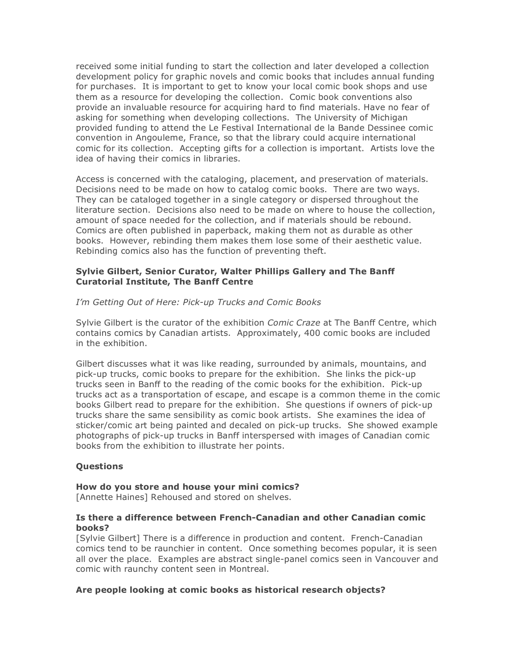received some initial funding to start the collection and later developed a collection development policy for graphic novels and comic books that includes annual funding for purchases. It is important to get to know your local comic book shops and use them as a resource for developing the collection. Comic book conventions also provide an invaluable resource for acquiring hard to find materials. Have no fear of asking for something when developing collections. The University of Michigan provided funding to attend the Le Festival International de la Bande Dessinee comic convention in Angouleme, France, so that the library could acquire international comic for its collection. Accepting gifts for a collection is important. Artists love the idea of having their comics in libraries.

Access is concerned with the cataloging, placement, and preservation of materials. Decisions need to be made on how to catalog comic books. There are two ways. They can be cataloged together in a single category or dispersed throughout the literature section. Decisions also need to be made on where to house the collection, amount of space needed for the collection, and if materials should be rebound. Comics are often published in paperback, making them not as durable as other books. However, rebinding them makes them lose some of their aesthetic value. Rebinding comics also has the function of preventing theft.

# **Sylvie Gilbert, Senior Curator, Walter Phillips Gallery and The Banff Curatorial Institute, The Banff Centre**

# *I'm Getting Out of Here: Pick-up Trucks and Comic Books*

Sylvie Gilbert is the curator of the exhibition *Comic Craze* at The Banff Centre, which contains comics by Canadian artists. Approximately, 400 comic books are included in the exhibition.

Gilbert discusses what it was like reading, surrounded by animals, mountains, and pick-up trucks, comic books to prepare for the exhibition. She links the pick-up trucks seen in Banff to the reading of the comic books for the exhibition. Pick-up trucks act as a transportation of escape, and escape is a common theme in the comic books Gilbert read to prepare for the exhibition. She questions if owners of pick-up trucks share the same sensibility as comic book artists. She examines the idea of sticker/comic art being painted and decaled on pick-up trucks. She showed example photographs of pick-up trucks in Banff interspersed with images of Canadian comic books from the exhibition to illustrate her points.

# **Questions**

#### **How do you store and house your mini comics?**

[Annette Haines] Rehoused and stored on shelves.

### **Is there a difference between French-Canadian and other Canadian comic books?**

[Sylvie Gilbert] There is a difference in production and content. French-Canadian comics tend to be raunchier in content. Once something becomes popular, it is seen all over the place. Examples are abstract single-panel comics seen in Vancouver and comic with raunchy content seen in Montreal.

# **Are people looking at comic books as historical research objects?**